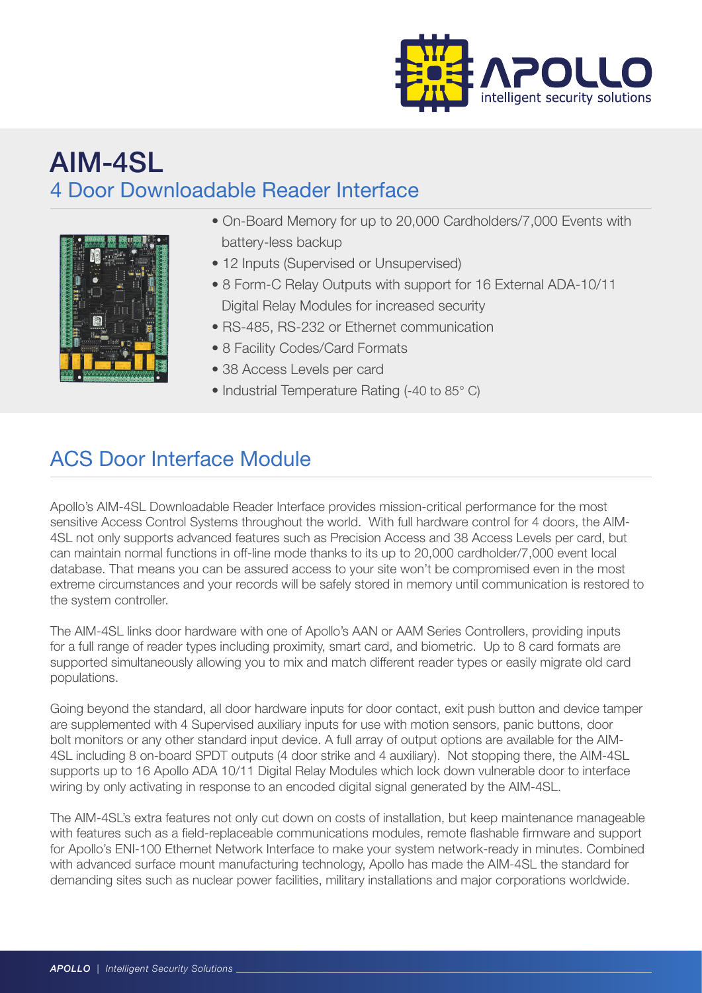

## AIM-4SL 4 Door Downloadable Reader Interface



- On-Board Memory for up to 20,000 Cardholders/7,000 Events with battery-less backup
- 12 Inputs (Supervised or Unsupervised)
- 8 Form-C Relay Outputs with support for 16 External ADA-10/11 Digital Relay Modules for increased security
- RS-485, RS-232 or Ethernet communication
- 8 Facility Codes/Card Formats
- 38 Access Levels per card
- Industrial Temperature Rating (-40 to 85° C)

## ACS Door Interface Module

Apollo's AIM-4SL Downloadable Reader Interface provides mission-critical performance for the most sensitive Access Control Systems throughout the world. With full hardware control for 4 doors, the AIM-4SL not only supports advanced features such as Precision Access and 38 Access Levels per card, but can maintain normal functions in off-line mode thanks to its up to 20,000 cardholder/7,000 event local database. That means you can be assured access to your site won't be compromised even in the most extreme circumstances and your records will be safely stored in memory until communication is restored to the system controller.

The AIM-4SL links door hardware with one of Apollo's AAN or AAM Series Controllers, providing inputs for a full range of reader types including proximity, smart card, and biometric. Up to 8 card formats are supported simultaneously allowing you to mix and match different reader types or easily migrate old card populations.

Going beyond the standard, all door hardware inputs for door contact, exit push button and device tamper are supplemented with 4 Supervised auxiliary inputs for use with motion sensors, panic buttons, door bolt monitors or any other standard input device. A full array of output options are available for the AIM-4SL including 8 on-board SPDT outputs (4 door strike and 4 auxiliary). Not stopping there, the AIM-4SL supports up to 16 Apollo ADA 10/11 Digital Relay Modules which lock down vulnerable door to interface wiring by only activating in response to an encoded digital signal generated by the AIM-4SL.

The AIM-4SL's extra features not only cut down on costs of installation, but keep maintenance manageable with features such as a field-replaceable communications modules, remote flashable firmware and support for Apollo's ENI-100 Ethernet Network Interface to make your system network-ready in minutes. Combined with advanced surface mount manufacturing technology, Apollo has made the AIM-4SL the standard for demanding sites such as nuclear power facilities, military installations and major corporations worldwide.